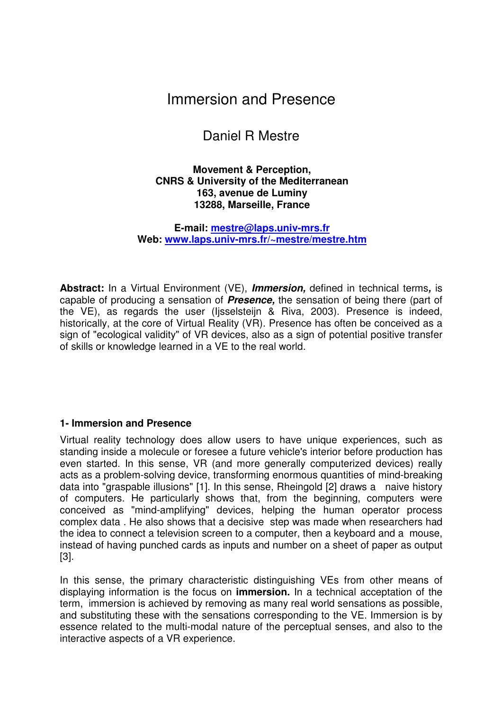# Immersion and Presence

# Daniel R Mestre

#### **Movement & Perception, CNRS & University of the Mediterranean 163, avenue de Luminy 13288, Marseille, France**

**E-mail: mestre@laps.univ-mrs.fr Web: www.laps.univ-mrs.fr/~mestre/mestre.htm**

**Abstract:** In a Virtual Environment (VE), *Immersion,* defined in technical terms*,* is capable of producing a sensation of *Presence,* the sensation of being there (part of the VE), as regards the user (Ijsselsteijn & Riva, 2003). Presence is indeed, historically, at the core of Virtual Reality (VR). Presence has often be conceived as a sign of "ecological validity" of VR devices, also as a sign of potential positive transfer of skills or knowledge learned in a VE to the real world.

## **1- Immersion and Presence**

Virtual reality technology does allow users to have unique experiences, such as standing inside a molecule or foresee a future vehicle's interior before production has even started. In this sense, VR (and more generally computerized devices) really acts as a problem-solving device, transforming enormous quantities of mind-breaking data into "graspable illusions" [1]. In this sense, Rheingold [2] draws a naive history of computers. He particularly shows that, from the beginning, computers were conceived as "mind-amplifying" devices, helping the human operator process complex data . He also shows that a decisive step was made when researchers had the idea to connect a television screen to a computer, then a keyboard and a mouse, instead of having punched cards as inputs and number on a sheet of paper as output [3].

In this sense, the primary characteristic distinguishing VEs from other means of displaying information is the focus on **immersion.** In a technical acceptation of the term, immersion is achieved by removing as many real world sensations as possible, and substituting these with the sensations corresponding to the VE. Immersion is by essence related to the multi-modal nature of the perceptual senses, and also to the interactive aspects of a VR experience.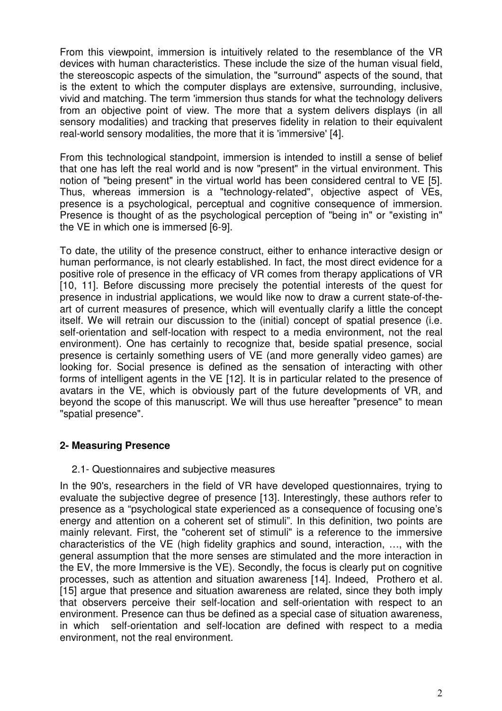From this viewpoint, immersion is intuitively related to the resemblance of the VR devices with human characteristics. These include the size of the human visual field, the stereoscopic aspects of the simulation, the "surround" aspects of the sound, that is the extent to which the computer displays are extensive, surrounding, inclusive, vivid and matching. The term 'immersion thus stands for what the technology delivers from an objective point of view. The more that a system delivers displays (in all sensory modalities) and tracking that preserves fidelity in relation to their equivalent real-world sensory modalities, the more that it is 'immersive' [4].

From this technological standpoint, immersion is intended to instill a sense of belief that one has left the real world and is now "present" in the virtual environment. This notion of "being present" in the virtual world has been considered central to VE [5]. Thus, whereas immersion is a "technology-related", objective aspect of VEs, presence is a psychological, perceptual and cognitive consequence of immersion. Presence is thought of as the psychological perception of "being in" or "existing in" the VE in which one is immersed [6-9].

To date, the utility of the presence construct, either to enhance interactive design or human performance, is not clearly established. In fact, the most direct evidence for a positive role of presence in the efficacy of VR comes from therapy applications of VR [10, 11]. Before discussing more precisely the potential interests of the quest for presence in industrial applications, we would like now to draw a current state-of-theart of current measures of presence, which will eventually clarify a little the concept itself. We will retrain our discussion to the (initial) concept of spatial presence (i.e. self-orientation and self-location with respect to a media environment, not the real environment). One has certainly to recognize that, beside spatial presence, social presence is certainly something users of VE (and more generally video games) are looking for. Social presence is defined as the sensation of interacting with other forms of intelligent agents in the VE [12]. It is in particular related to the presence of avatars in the VE, which is obviously part of the future developments of VR, and beyond the scope of this manuscript. We will thus use hereafter "presence" to mean "spatial presence".

# **2- Measuring Presence**

# 2.1- Questionnaires and subjective measures

In the 90's, researchers in the field of VR have developed questionnaires, trying to evaluate the subjective degree of presence [13]. Interestingly, these authors refer to presence as a "psychological state experienced as a consequence of focusing one's energy and attention on a coherent set of stimuli". In this definition, two points are mainly relevant. First, the "coherent set of stimuli" is a reference to the immersive characteristics of the VE (high fidelity graphics and sound, interaction, …, with the general assumption that the more senses are stimulated and the more interaction in the EV, the more Immersive is the VE). Secondly, the focus is clearly put on cognitive processes, such as attention and situation awareness [14]. Indeed, Prothero et al. [15] argue that presence and situation awareness are related, since they both imply that observers perceive their self-location and self-orientation with respect to an environment. Presence can thus be defined as a special case of situation awareness, in which self-orientation and self-location are defined with respect to a media environment, not the real environment.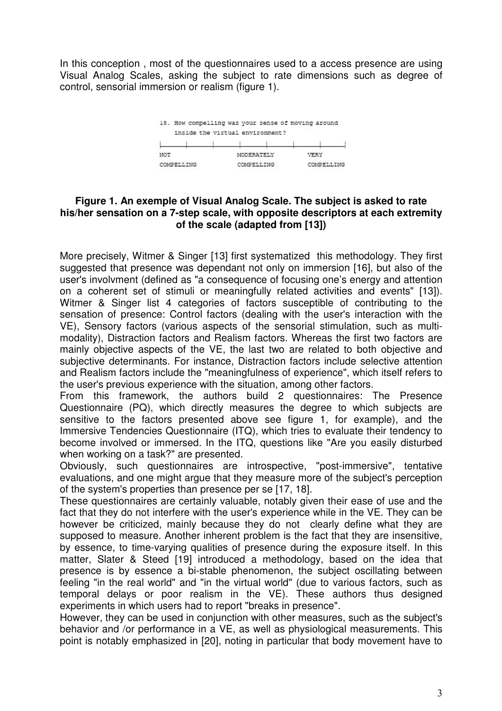Visual Analog Scales, asking the subject to rate dimensions such as degree of control, sensorial immersion or realism (figure 1).



## **Figure 1. An exemple of Visual Analog Scale. The subject is asked to rate his/her sensation on a 7-step scale, with opposite descriptors at each extremity of the scale (adapted from [13])**

In this conception , most of the questionnaires used to a access presence are using<br>the distribution of the studient presence are using the subject to rate dimensions such as degree of<br>control, sensorial immersion or reali More precisely, Witmer & Singer [13] first systematized this methodology. They first suggested that presence was dependant not only on immersion [16], but also of the user's involvment (defined as "a consequence of focusing one's energy and attention on a coherent set of stimuli or meaningfully related activities and events" [13]). Witmer & Singer list 4 categories of factors susceptible of contributing to the sensation of presence: Control factors (dealing with the user's interaction with the VE), Sensory factors (various aspects of the sensorial stimulation, such as multimodality), Distraction factors and Realism factors. Whereas the first two factors are mainly objective aspects of the VE, the last two are related to both objective and subjective determinants. For instance, Distraction factors include selective attention and Realism factors include the "meaningfulness of experience", which itself refers to the user's previous experience with the situation, among other factors.

From this framework, the authors build 2 questionnaires: The Presence Questionnaire (PQ), which directly measures the degree to which subjects are sensitive to the factors presented above see figure 1, for example), and the Immersive Tendencies Questionnaire (ITQ), which tries to evaluate their tendency to become involved or immersed. In the ITQ, questions like "Are you easily disturbed when working on a task?" are presented.

Obviously, such questionnaires are introspective, "post-immersive", tentative evaluations, and one might argue that they measure more of the subject's perception of the system's properties than presence per se [17, 18].

These questionnaires are certainly valuable, notably given their ease of use and the fact that they do not interfere with the user's experience while in the VE. They can be however be criticized, mainly because they do not clearly define what they are supposed to measure. Another inherent problem is the fact that they are insensitive, by essence, to time-varying qualities of presence during the exposure itself. In this matter, Slater & Steed [19] introduced a methodology, based on the idea that presence is by essence a bi-stable phenomenon, the subject oscillating between feeling "in the real world" and "in the virtual world" (due to various factors, such as temporal delays or poor realism in the VE). These authors thus designed experiments in which users had to report "breaks in presence".

However, they can be used in conjunction with other measures, such as the subject's behavior and /or performance in a VE, as well as physiological measurements. This point is notably emphasized in [20], noting in particular that body movement have to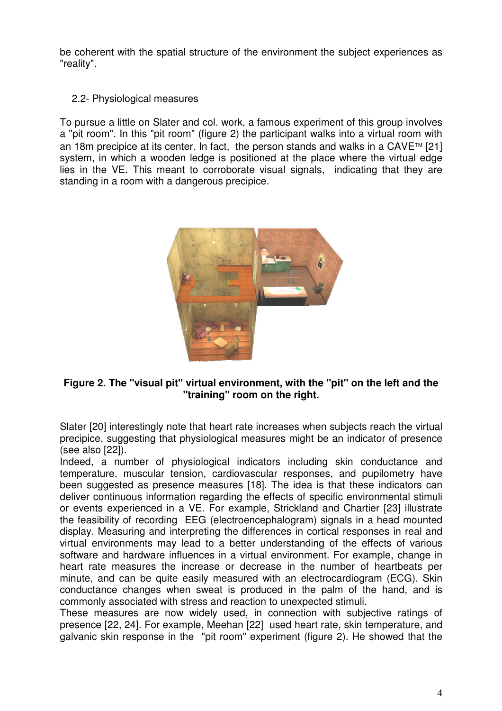be coherent with the spatial structure of the environment the subject experiences as "reality".

# 2.2- Physiological measures

To pursue a little on Slater and col. work, a famous experiment of this group involves a "pit room". In this "pit room" (figure 2) the participant walks into a virtual room with an 18m precipice at its center. In fact, the person stands and walks in a CAVE<sup>TM</sup> [21] system, in which a wooden ledge is positioned at the place where the virtual edge lies in the VE. This meant to corroborate visual signals, indicating that they are standing in a room with a dangerous precipice.



## **Figure 2. The "visual pit" virtual environment, with the "pit" on the left and the "training" room on the right.**

Slater [20] interestingly note that heart rate increases when subjects reach the virtual precipice, suggesting that physiological measures might be an indicator of presence (see also [22]).

Indeed, a number of physiological indicators including skin conductance and temperature, muscular tension, cardiovascular responses, and pupilometry have been suggested as presence measures [18]. The idea is that these indicators can deliver continuous information regarding the effects of specific environmental stimuli or events experienced in a VE. For example, Strickland and Chartier [23] illustrate the feasibility of recording EEG (electroencephalogram) signals in a head mounted display. Measuring and interpreting the differences in cortical responses in real and virtual environments may lead to a better understanding of the effects of various software and hardware influences in a virtual environment. For example, change in heart rate measures the increase or decrease in the number of heartbeats per minute, and can be quite easily measured with an electrocardiogram (ECG). Skin conductance changes when sweat is produced in the palm of the hand, and is commonly associated with stress and reaction to unexpected stimuli.

These measures are now widely used, in connection with subjective ratings of presence [22, 24]. For example, Meehan [22] used heart rate, skin temperature, and galvanic skin response in the "pit room" experiment (figure 2). He showed that the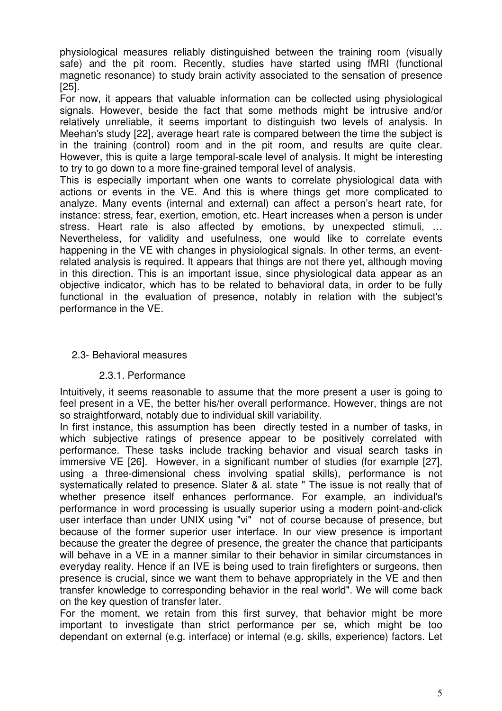physiological measures reliably distinguished between the training room (visually safe) and the pit room. Recently, studies have started using fMRI (functional magnetic resonance) to study brain activity associated to the sensation of presence [25].

For now, it appears that valuable information can be collected using physiological signals. However, beside the fact that some methods might be intrusive and/or relatively unreliable, it seems important to distinguish two levels of analysis. In Meehan's study [22], average heart rate is compared between the time the subject is in the training (control) room and in the pit room, and results are quite clear. However, this is quite a large temporal-scale level of analysis. It might be interesting to try to go down to a more fine-grained temporal level of analysis.

This is especially important when one wants to correlate physiological data with actions or events in the VE. And this is where things get more complicated to analyze. Many events (internal and external) can affect a person's heart rate, for instance: stress, fear, exertion, emotion, etc. Heart increases when a person is under stress. Heart rate is also affected by emotions, by unexpected stimuli, … Nevertheless, for validity and usefulness, one would like to correlate events happening in the VE with changes in physiological signals. In other terms, an eventrelated analysis is required. It appears that things are not there yet, although moving in this direction. This is an important issue, since physiological data appear as an objective indicator, which has to be related to behavioral data, in order to be fully functional in the evaluation of presence, notably in relation with the subject's performance in the VE.

## 2.3- Behavioral measures

## 2.3.1. Performance

Intuitively, it seems reasonable to assume that the more present a user is going to feel present in a VE, the better his/her overall performance. However, things are not so straightforward, notably due to individual skill variability.

In first instance, this assumption has been directly tested in a number of tasks, in which subjective ratings of presence appear to be positively correlated with performance. These tasks include tracking behavior and visual search tasks in immersive VE [26]. However, in a significant number of studies (for example [27], using a three-dimensional chess involving spatial skills), performance is not systematically related to presence. Slater & al. state " The issue is not really that of whether presence itself enhances performance. For example, an individual's performance in word processing is usually superior using a modern point-and-click user interface than under UNIX using "vi" not of course because of presence, but because of the former superior user interface. In our view presence is important because the greater the degree of presence, the greater the chance that participants will behave in a VE in a manner similar to their behavior in similar circumstances in everyday reality. Hence if an IVE is being used to train firefighters or surgeons, then presence is crucial, since we want them to behave appropriately in the VE and then transfer knowledge to corresponding behavior in the real world". We will come back on the key question of transfer later.

For the moment, we retain from this first survey, that behavior might be more important to investigate than strict performance per se, which might be too dependant on external (e.g. interface) or internal (e.g. skills, experience) factors. Let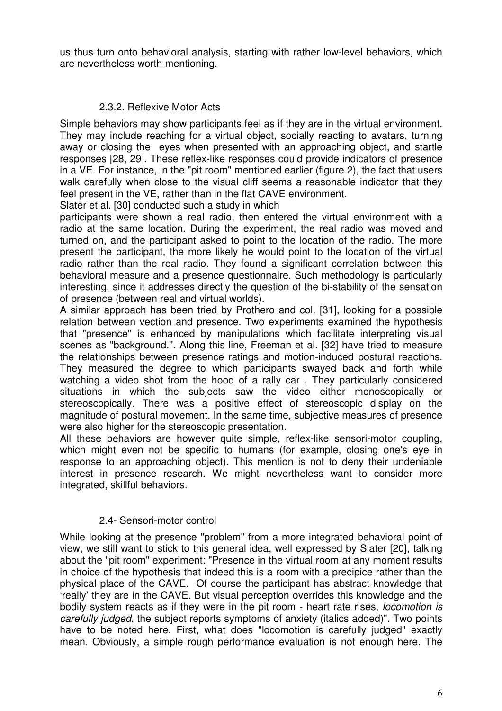us thus turn onto behavioral analysis, starting with rather low-level behaviors, which are nevertheless worth mentioning.

# 2.3.2. Reflexive Motor Acts

Simple behaviors may show participants feel as if they are in the virtual environment. They may include reaching for a virtual object, socially reacting to avatars, turning away or closing the eyes when presented with an approaching object, and startle responses [28, 29]. These reflex-like responses could provide indicators of presence in a VE. For instance, in the "pit room" mentioned earlier (figure 2), the fact that users walk carefully when close to the visual cliff seems a reasonable indicator that they feel present in the VE, rather than in the flat CAVE environment.

Slater et al. [30] conducted such a study in which

participants were shown a real radio, then entered the virtual environment with a radio at the same location. During the experiment, the real radio was moved and turned on, and the participant asked to point to the location of the radio. The more present the participant, the more likely he would point to the location of the virtual radio rather than the real radio. They found a significant correlation between this behavioral measure and a presence questionnaire. Such methodology is particularly interesting, since it addresses directly the question of the bi-stability of the sensation of presence (between real and virtual worlds).

A similar approach has been tried by Prothero and col. [31], looking for a possible relation between vection and presence. Two experiments examined the hypothesis that "presence'' is enhanced by manipulations which facilitate interpreting visual scenes as "background.''. Along this line, Freeman et al. [32] have tried to measure the relationships between presence ratings and motion-induced postural reactions. They measured the degree to which participants swayed back and forth while watching a video shot from the hood of a rally car . They particularly considered situations in which the subjects saw the video either monoscopically or stereoscopically. There was a positive effect of stereoscopic display on the magnitude of postural movement. In the same time, subjective measures of presence were also higher for the stereoscopic presentation.

All these behaviors are however quite simple, reflex-like sensori-motor coupling, which might even not be specific to humans (for example, closing one's eve in response to an approaching object). This mention is not to deny their undeniable interest in presence research. We might nevertheless want to consider more integrated, skillful behaviors.

# 2.4- Sensori-motor control

While looking at the presence "problem" from a more integrated behavioral point of view, we still want to stick to this general idea, well expressed by Slater [20], talking about the "pit room" experiment: "Presence in the virtual room at any moment results in choice of the hypothesis that indeed this is a room with a precipice rather than the physical place of the CAVE. Of course the participant has abstract knowledge that 'really' they are in the CAVE. But visual perception overrides this knowledge and the bodily system reacts as if they were in the pit room - heart rate rises, *locomotion is carefully judged*, the subject reports symptoms of anxiety (italics added)". Two points have to be noted here. First, what does "locomotion is carefully judged" exactly mean. Obviously, a simple rough performance evaluation is not enough here. The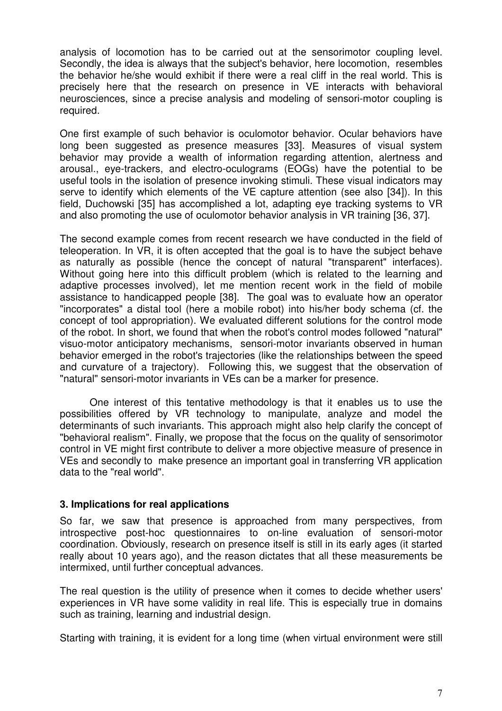analysis of locomotion has to be carried out at the sensorimotor coupling level. Secondly, the idea is always that the subject's behavior, here locomotion, resembles the behavior he/she would exhibit if there were a real cliff in the real world. This is precisely here that the research on presence in VE interacts with behavioral neurosciences, since a precise analysis and modeling of sensori-motor coupling is required.

One first example of such behavior is oculomotor behavior. Ocular behaviors have long been suggested as presence measures [33]. Measures of visual system behavior may provide a wealth of information regarding attention, alertness and arousal., eye-trackers, and electro-oculograms (EOGs) have the potential to be useful tools in the isolation of presence invoking stimuli. These visual indicators may serve to identify which elements of the VE capture attention (see also [34]). In this field, Duchowski [35] has accomplished a lot, adapting eye tracking systems to VR and also promoting the use of oculomotor behavior analysis in VR training [36, 37].

The second example comes from recent research we have conducted in the field of teleoperation. In VR, it is often accepted that the goal is to have the subject behave as naturally as possible (hence the concept of natural "transparent" interfaces). Without going here into this difficult problem (which is related to the learning and adaptive processes involved), let me mention recent work in the field of mobile assistance to handicapped people [38]. The goal was to evaluate how an operator "incorporates" a distal tool (here a mobile robot) into his/her body schema (cf. the concept of tool appropriation). We evaluated different solutions for the control mode of the robot. In short, we found that when the robot's control modes followed "natural" visuo-motor anticipatory mechanisms, sensori-motor invariants observed in human behavior emerged in the robot's trajectories (like the relationships between the speed and curvature of a trajectory). Following this, we suggest that the observation of "natural" sensori-motor invariants in VEs can be a marker for presence.

One interest of this tentative methodology is that it enables us to use the possibilities offered by VR technology to manipulate, analyze and model the determinants of such invariants. This approach might also help clarify the concept of "behavioral realism". Finally, we propose that the focus on the quality of sensorimotor control in VE might first contribute to deliver a more objective measure of presence in VEs and secondly to make presence an important goal in transferring VR application data to the "real world".

## **3. Implications for real applications**

So far, we saw that presence is approached from many perspectives, from introspective post-hoc questionnaires to on-line evaluation of sensori-motor coordination. Obviously, research on presence itself is still in its early ages (it started really about 10 years ago), and the reason dictates that all these measurements be intermixed, until further conceptual advances.

The real question is the utility of presence when it comes to decide whether users' experiences in VR have some validity in real life. This is especially true in domains such as training, learning and industrial design.

Starting with training, it is evident for a long time (when virtual environment were still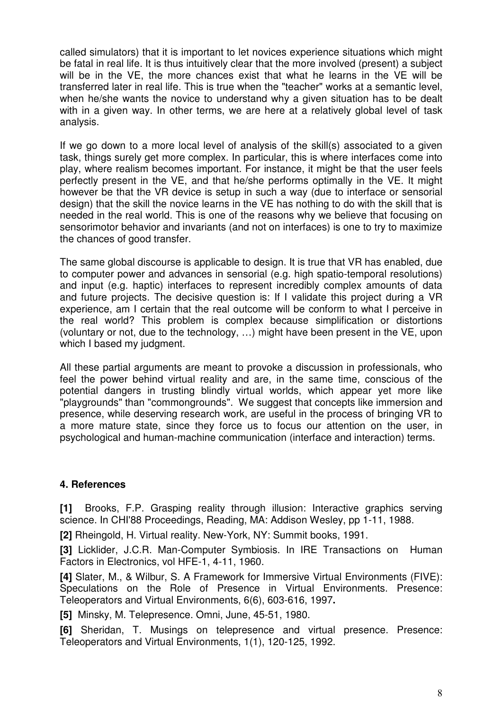called simulators) that it is important to let novices experience situations which might be fatal in real life. It is thus intuitively clear that the more involved (present) a subject will be in the VE, the more chances exist that what he learns in the VE will be transferred later in real life. This is true when the "teacher" works at a semantic level, when he/she wants the novice to understand why a given situation has to be dealt with in a given way. In other terms, we are here at a relatively global level of task analysis.

If we go down to a more local level of analysis of the skill(s) associated to a given task, things surely get more complex. In particular, this is where interfaces come into play, where realism becomes important. For instance, it might be that the user feels perfectly present in the VE, and that he/she performs optimally in the VE. It might however be that the VR device is setup in such a way (due to interface or sensorial design) that the skill the novice learns in the VE has nothing to do with the skill that is needed in the real world. This is one of the reasons why we believe that focusing on sensorimotor behavior and invariants (and not on interfaces) is one to try to maximize the chances of good transfer.

The same global discourse is applicable to design. It is true that VR has enabled, due to computer power and advances in sensorial (e.g. high spatio-temporal resolutions) and input (e.g. haptic) interfaces to represent incredibly complex amounts of data and future projects. The decisive question is: If I validate this project during a VR experience, am I certain that the real outcome will be conform to what I perceive in the real world? This problem is complex because simplification or distortions (voluntary or not, due to the technology, …) might have been present in the VE, upon which I based my judgment.

All these partial arguments are meant to provoke a discussion in professionals, who feel the power behind virtual reality and are, in the same time, conscious of the potential dangers in trusting blindly virtual worlds, which appear yet more like "playgrounds" than "commongrounds". We suggest that concepts like immersion and presence, while deserving research work, are useful in the process of bringing VR to a more mature state, since they force us to focus our attention on the user, in psychological and human-machine communication (interface and interaction) terms.

# **4. References**

**[1]** Brooks, F.P. Grasping reality through illusion: Interactive graphics serving science. In CHI'88 Proceedings, Reading, MA: Addison Wesley, pp 1-11, 1988.

**[2]** Rheingold, H. Virtual reality. New-York, NY: Summit books, 1991.

**[3]** Licklider, J.C.R. Man-Computer Symbiosis. In IRE Transactions on Human Factors in Electronics, vol HFE-1, 4-11, 1960.

**[4]** Slater, M., & Wilbur, S. A Framework for Immersive Virtual Environments (FIVE): Speculations on the Role of Presence in Virtual Environments. Presence: Teleoperators and Virtual Environments, 6(6), 603-616, 1997**.**

**[5]** Minsky, M. Telepresence. Omni, June, 45-51, 1980.

**[6]** Sheridan, T. Musings on telepresence and virtual presence. Presence: Teleoperators and Virtual Environments, 1(1), 120-125, 1992.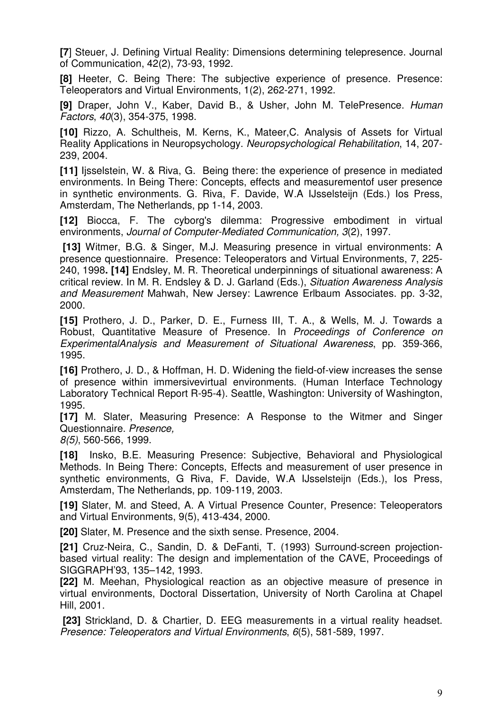**[7**] Steuer, J. Defining Virtual Reality: Dimensions determining telepresence. Journal of Communication, 42(2), 73-93, 1992.

**[8]** Heeter, C. Being There: The subjective experience of presence. Presence: Teleoperators and Virtual Environments, 1(2), 262-271, 1992.

**[9]** Draper, John V., Kaber, David B., & Usher, John M. TelePresence. *Human Factors*, *40*(3), 354-375, 1998.

**[10]** Rizzo, A. Schultheis, M. Kerns, K., Mateer,C. Analysis of Assets for Virtual Reality Applications in Neuropsychology. *Neuropsychological Rehabilitation*, 14, 207- 239, 2004.

**[11]** Ijsselstein, W. & Riva, G. Being there: the experience of presence in mediated environments. In Being There: Concepts, effects and measurementof user presence in synthetic environments. G. Riva, F. Davide, W.A IJsselsteijn (Eds.) Ios Press, Amsterdam, The Netherlands, pp 1-14, 2003.

**[12]** Biocca, F. The cyborg's dilemma: Progressive embodiment in virtual environments, *Journal of Computer-Mediated Communication, 3*(2), 1997.

**[13]** Witmer, B.G. & Singer, M.J. Measuring presence in virtual environments: A presence questionnaire. Presence: Teleoperators and Virtual Environments, 7, 225- 240, 1998**. [14]** Endsley, M. R. Theoretical underpinnings of situational awareness: A critical review. In M. R. Endsley & D. J. Garland (Eds.), *Situation Awareness Analysis and Measurement* Mahwah, New Jersey: Lawrence Erlbaum Associates. pp. 3-32, 2000.

**[15]** Prothero, J. D., Parker, D. E., Furness III, T. A., & Wells, M. J. Towards a Robust, Quantitative Measure of Presence. In *Proceedings of Conference on ExperimentalAnalysis and Measurement of Situational Awareness*, pp. 359-366, 1995.

**[16]** Prothero, J. D., & Hoffman, H. D. Widening the field-of-view increases the sense of presence within immersivevirtual environments. (Human Interface Technology Laboratory Technical Report R-95-4). Seattle, Washington: University of Washington, 1995.

**[17]** M. Slater, Measuring Presence: A Response to the Witmer and Singer Questionnaire. *Presence,*

*8(5)*, 560-566, 1999.

**[18]** Insko, B.E. Measuring Presence: Subjective, Behavioral and Physiological Methods. In Being There: Concepts, Effects and measurement of user presence in synthetic environments, G Riva, F. Davide, W.A IJsselsteijn (Eds.), Ios Press, Amsterdam, The Netherlands, pp. 109-119, 2003.

**[19]** Slater, M. and Steed, A. A Virtual Presence Counter, Presence: Teleoperators and Virtual Environments, 9(5), 413-434, 2000.

**[20]** Slater, M. Presence and the sixth sense. Presence, 2004.

**[21]** Cruz-Neira, C., Sandin, D. & DeFanti, T. (1993) Surround-screen projectionbased virtual reality: The design and implementation of the CAVE, Proceedings of SIGGRAPH'93, 135–142, 1993.

**[22]** M. Meehan, Physiological reaction as an objective measure of presence in virtual environments, Doctoral Dissertation, University of North Carolina at Chapel Hill, 2001.

**[23]** Strickland, D. & Chartier, D. EEG measurements in a virtual reality headset. *Presence: Teleoperators and Virtual Environments*, *6*(5), 581-589, 1997.